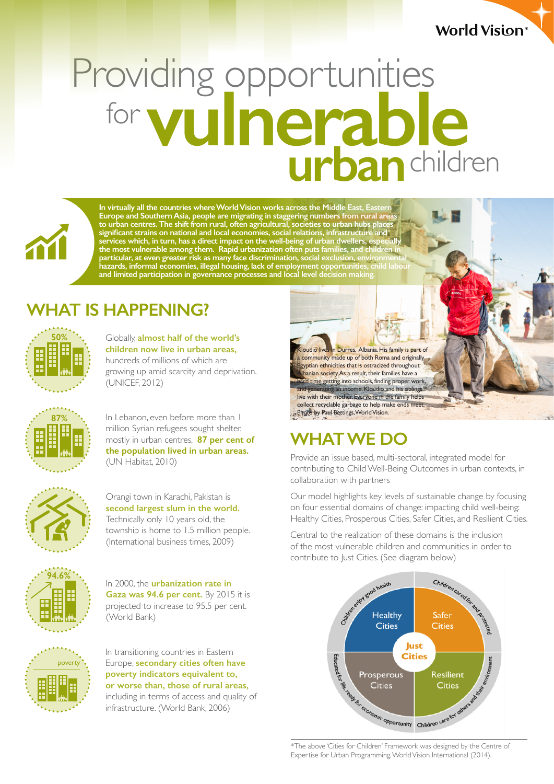#### **World Vision**®

# Providing opportunities<br>for **vulnerable** children **urban** for



**In virtually all the countries where World Vision works across the Middle East, Eastern Europe and Southern Asia, people are migrating in staggering numbers from rural areas to urban centres. The shift from rural, often agricultural, societies to urban hubs places significant strains on national and local economies, social relations, infrastructure and services which, in turn, has a direct impact on the well-being of urban dwellers, especially the most vulnerable among them. Rapid urbanization often puts families, and children in particular, at even greater risk as many face discrimination, social exclusion, environmental hazards, informal economies, illegal housing, lack of employment opportunities, child labour and limited participation in governance processes and local level decision making.**

## **WHAT IS HAPPENING?**



Globally, **almost half of the world's children now live in urban areas,**  hundreds of millions of which are growing up amid scarcity and deprivation. (UNICEF, 2012)



In Lebanon, even before more than 1 million Syrian refugees sought shelter, mostly in urban centres, **87 per cent of the population lived in urban areas.**  (UN Habitat, 2010)



Orangi town in Karachi, Pakistan is **second largest slum in the world.**  Technically only 10 years old, the township is home to 1.5 million people. (International business times, 2009)



In 2000, the **urbanization rate in Gaza was 94.6 per cent.** By 2015 it is projected to increase to 95.5 per cent. (World Bank)



In transitioning countries in Eastern Europe, **secondary cities often have poverty indicators equivalent to, or worse than, those of rural areas,** including in terms of access and quality of infrastructure. (World Bank, 2006)

budio lives in Durres, Albania. His family is part of community made up of both Roma and originally gyptian ethnicities that is ostracized throughout anian society. As a result, their families have a for time getting into schools, finding proper work ing an income. Kloudio and his siblings live with their mother. Everyone in the family helps collect recyclable garbage to help make ends meet Photo by Paul Bettings, World Vision.

# **WHAT WE DO**

Provide an issue based, multi-sectoral, integrated model for contributing to Child Well-Being Outcomes in urban contexts, in collaboration with partners

Our model highlights key levels of sustainable change by focusing on four essential domains of change: impacting child well-being: Healthy Cities, Prosperous Cities, Safer Cities, and Resilient Cities.

Central to the realization of these domains is the inclusion of the most vulnerable children and communities in order to



Expertise for Urban Programming, World Vision International (2014).